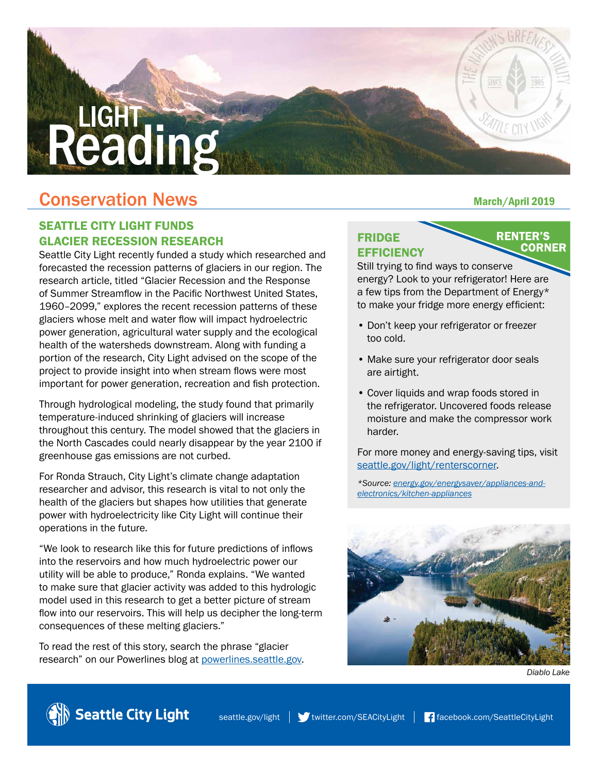# **Conservation News** March/April 2019

## SEATTLE CITY LIGHT FUNDS GLACIER RECESSION RESEARCH

Reading

Seattle City Light recently funded a study which researched and forecasted the recession patterns of glaciers in our region. The research article, titled "Glacier Recession and the Response of Summer Streamflow in the Pacific Northwest United States, 1960–2099," explores the recent recession patterns of these glaciers whose melt and water flow will impact hydroelectric power generation, agricultural water supply and the ecological health of the watersheds downstream. Along with funding a portion of the research, City Light advised on the scope of the project to provide insight into when stream flows were most important for power generation, recreation and fish protection.

Through hydrological modeling, the study found that primarily temperature-induced shrinking of glaciers will increase throughout this century. The model showed that the glaciers in the North Cascades could nearly disappear by the year 2100 if greenhouse gas emissions are not curbed.

For Ronda Strauch, City Light's climate change adaptation researcher and advisor, this research is vital to not only the health of the glaciers but shapes how utilities that generate power with hydroelectricity like City Light will continue their operations in the future.

"We look to research like this for future predictions of inflows into the reservoirs and how much hydroelectric power our utility will be able to produce," Ronda explains. "We wanted to make sure that glacier activity was added to this hydrologic model used in this research to get a better picture of stream flow into our reservoirs. This will help us decipher the long-term consequences of these melting glaciers."

To read the rest of this story, search the phrase "glacier research" on our Powerlines blog at powerlines.seattle.gov.

## FRIDGE **EFFICIENCY**

**RENTER'S CORNER** 

Still trying to find ways to conserve energy? Look to your refrigerator! Here are a few tips from the Department of Energy\* to make your fridge more energy efficient:

- Don't keep your refrigerator or freezer too cold.
- Make sure your refrigerator door seals are airtight.
- Cover liquids and wrap foods stored in the refrigerator. Uncovered foods release moisture and make the compressor work harder.

For more money and energy-saving tips, visit seattle.gov/light/renterscorner.

*\*Source: energy.gov/energysaver/appliances-andelectronics/kitchen-appliances*



*Diablo Lake*

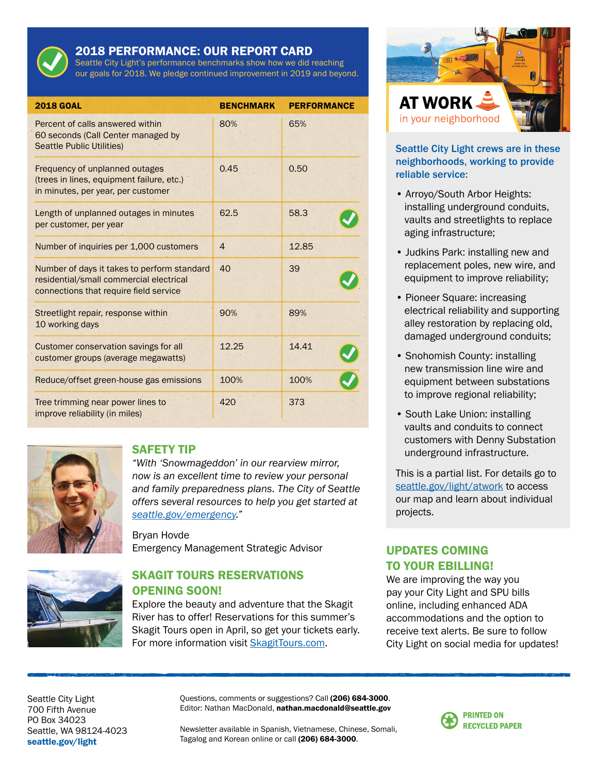

#### 2018 PERFORMANCE: OUR REPORT CARD

Seattle City Light's performance benchmarks show how we did reaching our goals for 2018. We pledge continued improvement in 2019 and beyond.

| <b>2018 GOAL</b>                                                                                                                 | <b>BENCHMARK</b> | <b>PERFORMANCE</b> |
|----------------------------------------------------------------------------------------------------------------------------------|------------------|--------------------|
| Percent of calls answered within<br>60 seconds (Call Center managed by<br><b>Seattle Public Utilities)</b>                       | 80%              | 65%                |
| Frequency of unplanned outages<br>(trees in lines, equipment failure, etc.)<br>in minutes, per year, per customer                | 0.45             | 0.50               |
| Length of unplanned outages in minutes<br>per customer, per year                                                                 | 62.5             | 58.3               |
| Number of inquiries per 1,000 customers                                                                                          | $\overline{4}$   | 12.85              |
| Number of days it takes to perform standard<br>residential/small commercial electrical<br>connections that require field service | 40               | 39                 |
| Streetlight repair, response within<br>10 working days                                                                           | 90%              | 89%                |
| <b>Customer conservation savings for all</b><br>customer groups (average megawatts)                                              | 12.25            | 14.41              |
| Reduce/offset green-house gas emissions                                                                                          | 100%             | 100%               |
| Tree trimming near power lines to<br>improve reliability (in miles)                                                              | 420              | 373                |



#### SAFETY TIP

*"With 'Snowmageddon' in our rearview mirror, now is an excellent time to review your personal and family preparedness plans. The City of Seattle offers several resources to help you get started at seattle.gov/emergency."* 

Bryan Hovde Emergency Management Strategic Advisor



#### SKAGIT TOURS RESERVATIONS OPENING SOON!

Explore the beauty and adventure that the Skagit River has to offer! Reservations for this summer's Skagit Tours open in April, so get your tickets early. For more information visit SkagitTours.com.



#### Seattle City Light crews are in these neighborhoods, working to provide reliable service:

- Arroyo/South Arbor Heights: installing underground conduits, vaults and streetlights to replace aging infrastructure;
- Judkins Park: installing new and replacement poles, new wire, and equipment to improve reliability;
- Pioneer Square: increasing electrical reliability and supporting alley restoration by replacing old, damaged underground conduits;
- Snohomish County: installing new transmission line wire and equipment between substations to improve regional reliability;
- South Lake Union: installing vaults and conduits to connect customers with Denny Substation underground infrastructure.

This is a partial list. For details go to seattle.gov/light/atwork to access our map and learn about individual projects.

### UPDATES COMING TO YOUR EBILLING!

We are improving the way you pay your City Light and SPU bills online, including enhanced ADA accommodations and the option to receive text alerts. Be sure to follow City Light on social media for updates!

Seattle City Light 700 Fifth Avenue PO Box 34023 Seattle, WA 98124-4023 [seattle.gov/light](http://www.seattle.gov/light)

Questions, comments or suggestions? Call (206) 684-3000. Editor: Nathan MacDonald, nathan.macdonald@seattle.gov

Newsletter available in Spanish, Vietnamese, Chinese, Somali, Tagalog and Korean online or call (206) 684-3000.

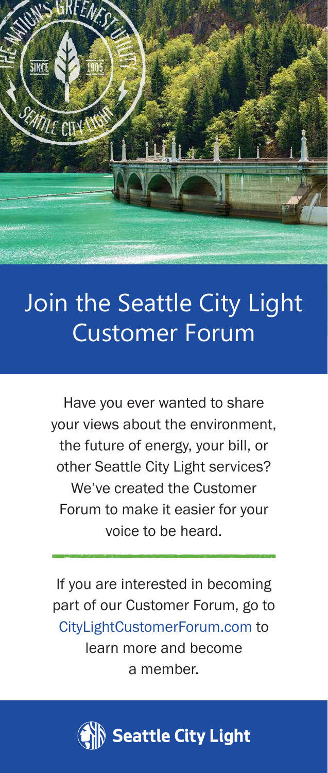

# Join the Seattle City Light Customer Forum

Have you ever wanted to share your views about the environment, the future of energy, your bill, or other Seattle City Light services? We've created the Customer Forum to make it easier for your voice to be heard.

If you are interested in becoming part of our Customer Forum, go to [CityLightCustomerForum.com](http://www.citylightcustomerforum.com) to learn more and become a member.